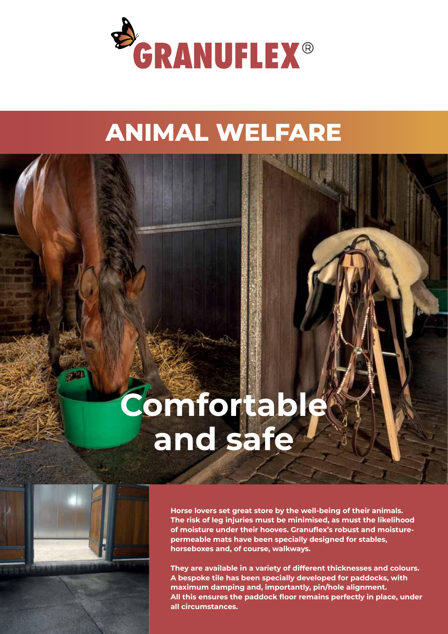

## **ANIMAL WELFARE**

# **Comfortable and safe**

**Horse lovers set great store by the well-being of their animals. The risk of leg injuries must be minimised, as must the likelihood of moisture under their hooves. Granuflex's robust and moisturepermeable mats have been specially designed for stables, horseboxes and, of course, walkways.** 

**They are available in a variety of different thicknesses and colours. A bespoke tile has been specially developed for paddocks, with maximum damping and, importantly, pin/hole alignment. All this ensures the paddock floor remains perfectly in place, under all circumstances.**